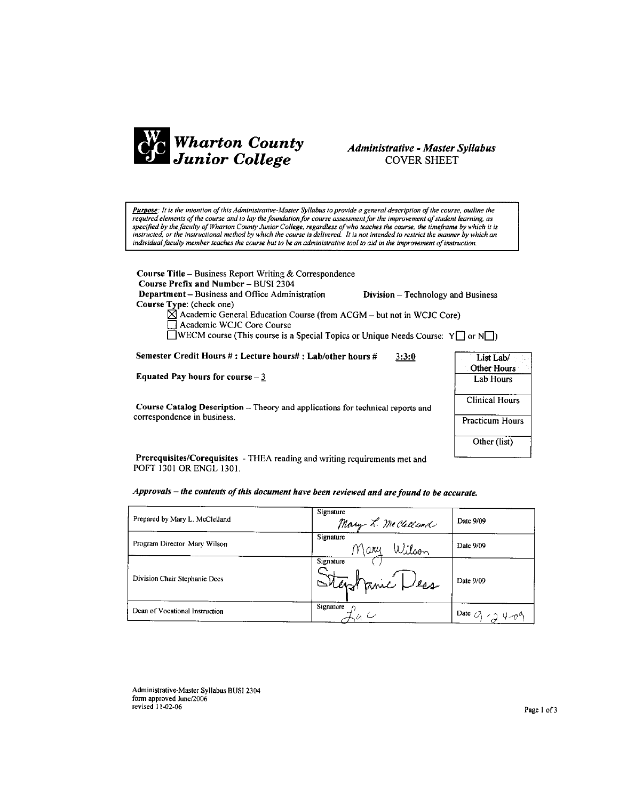

## Administrative - Master Syllabus **COVER SHEET**

Purpose: It is the intention of this Administrative-Master Syllabus to provide a general description of the course, outline the required elements of the course and to lay the foundation for course assessment for the improvement of student learning, as specified by the faculty of Wharton County Junior College, regardless of who teaches the course, the timeframe by which it is instructed, or the instructional method by which the course is delivered. It is not intended to restrict the manner by which an individual faculty member teaches the course but to be an administrative tool to aid in the improvement of instruction.

Course Title - Business Report Writing & Correspondence Course Prefix and Number - BUSI 2304 Department - Business and Office Administration

Division - Technology and Business

Course Type: (check one)

 $\overrightarrow{M}$  Academic General Education Course (from ACGM – but not in WCJC Core)<br>  $\Box$  Academic WCJC Core Course

**TWECM** course (This course is a Special Topics or Unique Needs Course:  $Y \square$  or  $N \square$ )

Semester Credit Hours #: Lecture hours#: Lab/other hours #  $3:3:0$ 

Equated Pay hours for course  $-\underline{3}$ 

Course Catalog Description -- Theory and applications for technical reports and correspondence in business.

| List Lab/              |
|------------------------|
| Other Hours            |
| Lab Hours              |
| <b>Clinical Hours</b>  |
| <b>Practicum Hours</b> |
| Other (list)           |

Prerequisites/Corequisites - THEA reading and writing requirements met and POFT 1301 OR ENGL 1301.

|  | Approvals – the contents of this document have been reviewed and are found to be accurate. |  |
|--|--------------------------------------------------------------------------------------------|--|
|--|--------------------------------------------------------------------------------------------|--|

| Prepared by Mary L. McClelland | Signature<br>Mary L. Mccleland | Date 9/09                      |
|--------------------------------|--------------------------------|--------------------------------|
| Program Director Mary Wilson   | Signature<br>Wilson<br>Mary    | Date 9/09                      |
| Division Chair Stephanie Dees  | Signature<br>Stephanic Dess    | Date 9/09                      |
| Dean of Vocational Instruction | Signature                      | Date $G_1 \times g_1 \vee g_2$ |

Administrative-Master Syllabus BUSI 2304 form approved June/2006 revised 11-02-06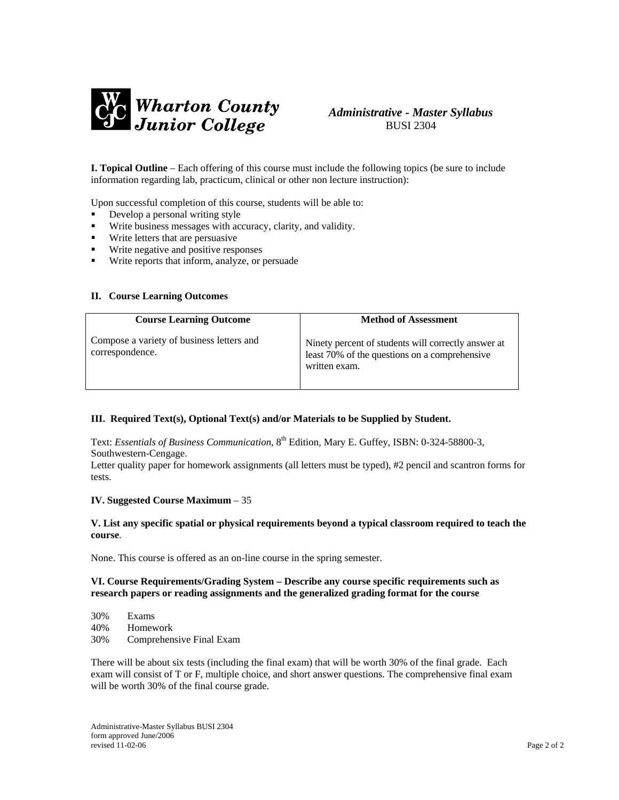

## *Administrative - Master Syllabus*  BUSI 2304

**I. Topical Outline** – Each offering of this course must include the following topics (be sure to include information regarding lab, practicum, clinical or other non lecture instruction):

Upon successful completion of this course, students will be able to:

- Develop a personal writing style
- Write business messages with accuracy, clarity, and validity.
- **Write letters that are persuasive**
- **Write negative and positive responses**
- Write reports that inform, analyze, or persuade

#### **II. Course Learning Outcomes**

| <b>Course Learning Outcome</b>                               | <b>Method of Assessment</b>                                                                                           |
|--------------------------------------------------------------|-----------------------------------------------------------------------------------------------------------------------|
| Compose a variety of business letters and<br>correspondence. | Ninety percent of students will correctly answer at<br>least 70% of the questions on a comprehensive<br>written exam. |

#### **III. Required Text(s), Optional Text(s) and/or Materials to be Supplied by Student.**

Text: *Essentials of Business Communication*, 8th Edition, Mary E. Guffey, ISBN: 0-324-58800-3, Southwestern-Cengage.

Letter quality paper for homework assignments (all letters must be typed), #2 pencil and scantron forms for tests.

#### **IV. Suggested Course Maximum** – 35

#### **V. List any specific spatial or physical requirements beyond a typical classroom required to teach the course**.

None. This course is offered as an on-line course in the spring semester.

#### **VI. Course Requirements/Grading System – Describe any course specific requirements such as research papers or reading assignments and the generalized grading format for the course**

30% Exams 40% Homework 30% Comprehensive Final Exam

There will be about six tests (including the final exam) that will be worth 30% of the final grade. Each exam will consist of T or F, multiple choice, and short answer questions. The comprehensive final exam will be worth 30% of the final course grade.